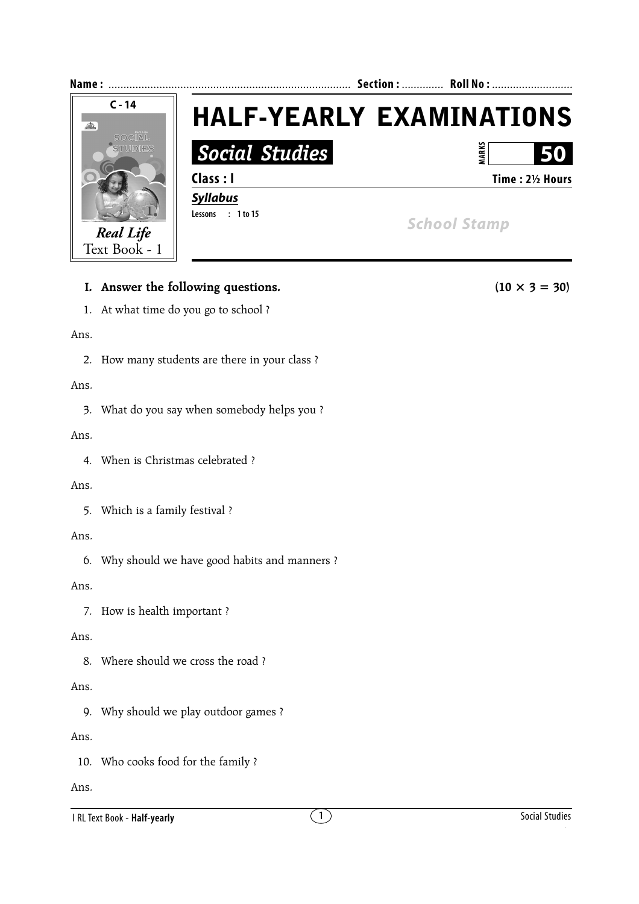

# **I.** Answer the following questions. (10  $\times$  3 = 30)

1. At what time do you go to school ?

### Ans.

2. How many students are there in your class ?

### Ans.

3. What do you say when somebody helps you ?

## Ans.

4. When is Christmas celebrated ?

## Ans.

5. Which is a family festival ?

## Ans.

6. Why should we have good habits and manners ?

## Ans.

7. How is health important ?

# Ans.

8. Where should we cross the road ?

# Ans.

9. Why should we play outdoor games ?

# Ans.

10. Who cooks food for the family ?

# Ans.